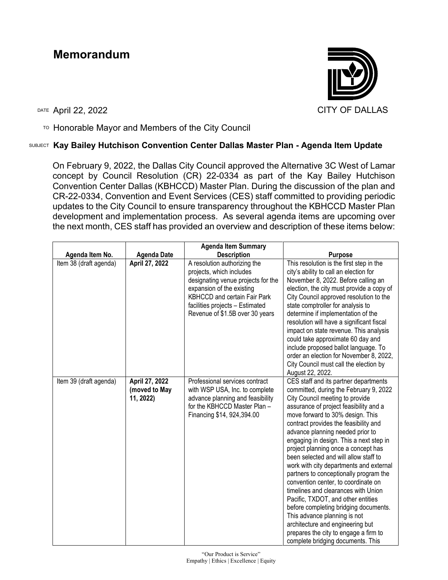## **Memorandum**



TO Honorable Mayor and Members of the City Council

## SUBJECT **Kay Bailey Hutchison Convention Center Dallas Master Plan - Agenda Item Update**

On February 9, 2022, the Dallas City Council approved the Alternative 3C West of Lamar concept by Council Resolution (CR) 22-0334 as part of the Kay Bailey Hutchison Convention Center Dallas (KBHCCD) Master Plan. During the discussion of the plan and CR-22-0334, Convention and Event Services (CES) staff committed to providing periodic updates to the City Council to ensure transparency throughout the KBHCCD Master Plan development and implementation process. As several agenda items are upcoming over the next month, CES staff has provided an overview and description of these items below:

|                        |                                              | <b>Agenda Item Summary</b>                                                                                                                                                                                                               |                                                                                                                                                                                                                                                                                                                                                                                                                                                                                                                                                                                                                                                                                                                                                                                                              |
|------------------------|----------------------------------------------|------------------------------------------------------------------------------------------------------------------------------------------------------------------------------------------------------------------------------------------|--------------------------------------------------------------------------------------------------------------------------------------------------------------------------------------------------------------------------------------------------------------------------------------------------------------------------------------------------------------------------------------------------------------------------------------------------------------------------------------------------------------------------------------------------------------------------------------------------------------------------------------------------------------------------------------------------------------------------------------------------------------------------------------------------------------|
| Agenda Item No.        | <b>Agenda Date</b>                           | <b>Description</b>                                                                                                                                                                                                                       | <b>Purpose</b>                                                                                                                                                                                                                                                                                                                                                                                                                                                                                                                                                                                                                                                                                                                                                                                               |
| Item 38 (draft agenda) | April 27, 2022                               | A resolution authorizing the<br>projects, which includes<br>designating venue projects for the<br>expansion of the existing<br><b>KBHCCD and certain Fair Park</b><br>facilities projects - Estimated<br>Revenue of \$1.5B over 30 years | This resolution is the first step in the<br>city's ability to call an election for<br>November 8, 2022. Before calling an<br>election, the city must provide a copy of<br>City Council approved resolution to the<br>state comptroller for analysis to<br>determine if implementation of the<br>resolution will have a significant fiscal<br>impact on state revenue. This analysis<br>could take approximate 60 day and<br>include proposed ballot language. To<br>order an election for November 8, 2022,<br>City Council must call the election by<br>August 22, 2022.                                                                                                                                                                                                                                    |
| Item 39 (draft agenda) | April 27, 2022<br>(moved to May<br>11, 2022) | Professional services contract<br>with WSP USA, Inc. to complete<br>advance planning and feasibility<br>for the KBHCCD Master Plan -<br>Financing \$14, 924, 394.00                                                                      | CES staff and its partner departments<br>committed, during the February 9, 2022<br>City Council meeting to provide<br>assurance of project feasibility and a<br>move forward to 30% design. This<br>contract provides the feasibility and<br>advance planning needed prior to<br>engaging in design. This a next step in<br>project planning once a concept has<br>been selected and will allow staff to<br>work with city departments and external<br>partners to conceptionally program the<br>convention center, to coordinate on<br>timelines and clearances with Union<br>Pacific, TXDOT, and other entities<br>before completing bridging documents.<br>This advance planning is not<br>architecture and engineering but<br>prepares the city to engage a firm to<br>complete bridging documents. This |